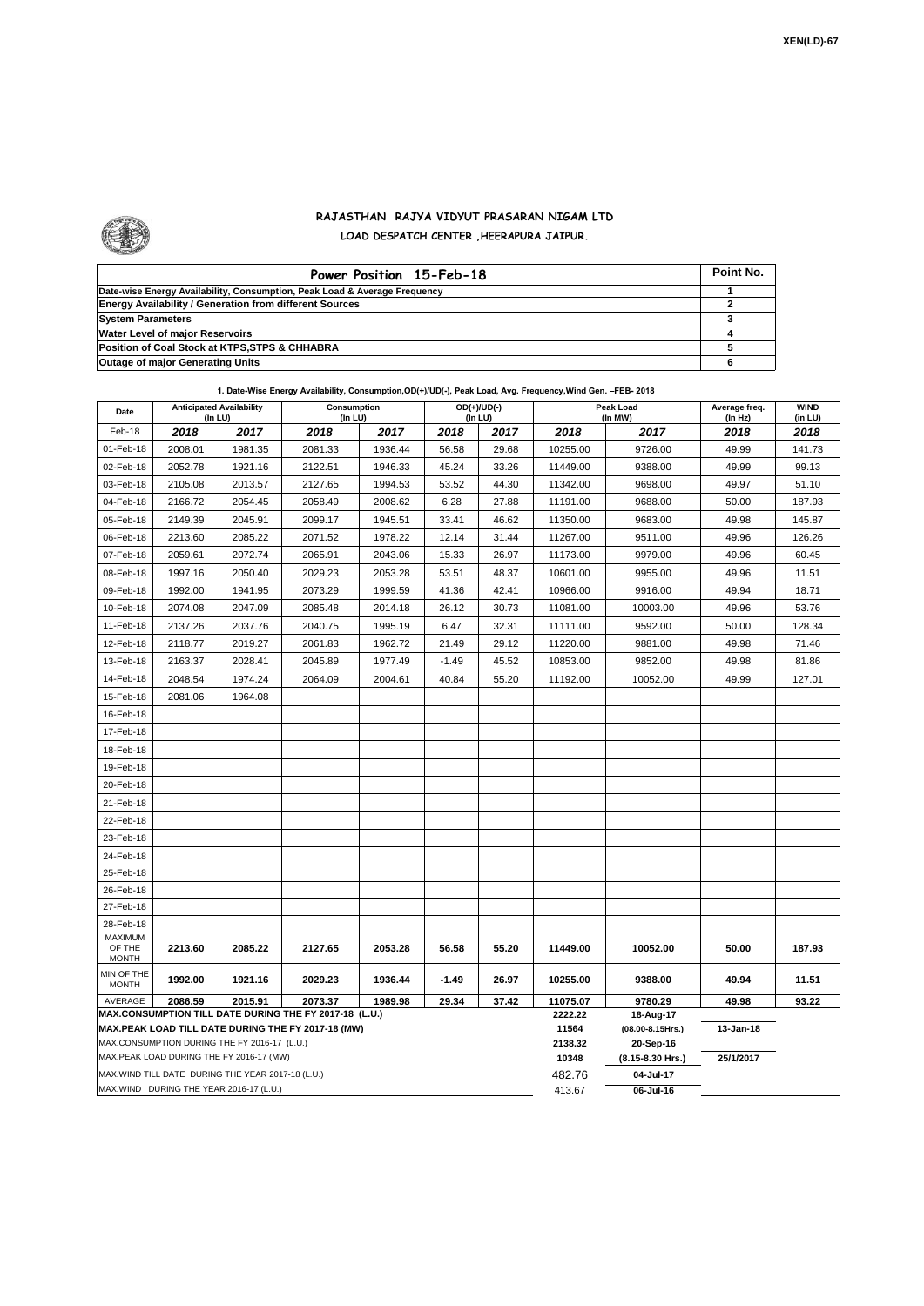

## **RAJASTHAN RAJYA VIDYUT PRASARAN NIGAM LTD LOAD DESPATCH CENTER ,HEERAPURA JAIPUR.**

| Power Position 15-Feb-18                                                  | Point No. |
|---------------------------------------------------------------------------|-----------|
| Date-wise Energy Availability, Consumption, Peak Load & Average Frequency |           |
| <b>Energy Availability / Generation from different Sources</b>            |           |
| <b>System Parameters</b>                                                  |           |
| Water Level of major Reservoirs                                           |           |
| Position of Coal Stock at KTPS, STPS & CHHABRA                            |           |
| <b>Outage of major Generating Units</b>                                   |           |

| Date                       | <b>Anticipated Availability</b><br>(In LU)        |         | Consumption<br>(In LU)                                                                                       |         |         | $OD(+)/UD(-)$<br>(In LU) | Peak Load<br>(In MW) |                                    | Average freq.<br>(In Hz) | <b>WIND</b><br>(in LU) |
|----------------------------|---------------------------------------------------|---------|--------------------------------------------------------------------------------------------------------------|---------|---------|--------------------------|----------------------|------------------------------------|--------------------------|------------------------|
| Feb-18                     | 2018                                              | 2017    | 2018                                                                                                         | 2017    | 2018    | 2017                     | 2018                 | 2017                               | 2018                     | 2018                   |
| 01-Feb-18                  | 2008.01                                           | 1981.35 | 2081.33                                                                                                      | 1936.44 | 56.58   | 29.68                    | 10255.00             | 9726.00                            | 49.99                    | 141.73                 |
| 02-Feb-18                  | 2052.78                                           | 1921.16 | 2122.51                                                                                                      | 1946.33 | 45.24   | 33.26                    | 11449.00             | 9388.00                            | 49.99                    | 99.13                  |
| 03-Feb-18                  | 2105.08                                           | 2013.57 | 2127.65                                                                                                      | 1994.53 | 53.52   | 44.30                    | 11342.00             | 9698.00                            | 49.97                    | 51.10                  |
| 04-Feb-18                  | 2166.72                                           | 2054.45 | 2058.49                                                                                                      | 2008.62 | 6.28    | 27.88                    | 11191.00             | 9688.00                            | 50.00                    | 187.93                 |
| 05-Feb-18                  | 2149.39                                           | 2045.91 | 2099.17                                                                                                      | 1945.51 | 33.41   | 46.62                    | 11350.00             | 9683.00                            | 49.98                    | 145.87                 |
| 06-Feb-18                  | 2213.60                                           | 2085.22 | 2071.52                                                                                                      | 1978.22 | 12.14   | 31.44                    | 11267.00             | 9511.00                            | 49.96                    | 126.26                 |
| 07-Feb-18                  | 2059.61                                           | 2072.74 | 2065.91                                                                                                      | 2043.06 | 15.33   | 26.97                    | 11173.00             | 9979.00                            | 49.96                    | 60.45                  |
| 08-Feb-18                  | 1997.16                                           | 2050.40 | 2029.23                                                                                                      | 2053.28 | 53.51   | 48.37                    | 10601.00             | 9955.00                            | 49.96                    | 11.51                  |
| 09-Feb-18                  | 1992.00                                           | 1941.95 | 2073.29                                                                                                      | 1999.59 | 41.36   | 42.41                    | 10966.00             | 9916.00                            | 49.94                    | 18.71                  |
| 10-Feb-18                  | 2074.08                                           | 2047.09 | 2085.48                                                                                                      | 2014.18 | 26.12   | 30.73                    | 11081.00             | 10003.00                           | 49.96                    | 53.76                  |
| 11-Feb-18                  | 2137.26                                           | 2037.76 | 2040.75                                                                                                      | 1995.19 | 6.47    | 32.31                    | 11111.00             | 9592.00                            | 50.00                    | 128.34                 |
| 12-Feb-18                  | 2118.77                                           | 2019.27 | 2061.83                                                                                                      | 1962.72 | 21.49   | 29.12                    | 11220.00             | 9881.00                            | 49.98                    | 71.46                  |
| 13-Feb-18                  | 2163.37                                           | 2028.41 | 2045.89                                                                                                      | 1977.49 | $-1.49$ | 45.52                    | 10853.00             | 9852.00                            | 49.98                    | 81.86                  |
| 14-Feb-18                  | 2048.54                                           | 1974.24 | 2064.09                                                                                                      | 2004.61 | 40.84   | 55.20                    | 11192.00             | 10052.00                           | 49.99                    | 127.01                 |
| 15-Feb-18                  | 2081.06                                           | 1964.08 |                                                                                                              |         |         |                          |                      |                                    |                          |                        |
| 16-Feb-18                  |                                                   |         |                                                                                                              |         |         |                          |                      |                                    |                          |                        |
| 17-Feb-18                  |                                                   |         |                                                                                                              |         |         |                          |                      |                                    |                          |                        |
| 18-Feb-18                  |                                                   |         |                                                                                                              |         |         |                          |                      |                                    |                          |                        |
| 19-Feb-18                  |                                                   |         |                                                                                                              |         |         |                          |                      |                                    |                          |                        |
| 20-Feb-18                  |                                                   |         |                                                                                                              |         |         |                          |                      |                                    |                          |                        |
| 21-Feb-18                  |                                                   |         |                                                                                                              |         |         |                          |                      |                                    |                          |                        |
| 22-Feb-18                  |                                                   |         |                                                                                                              |         |         |                          |                      |                                    |                          |                        |
| 23-Feb-18                  |                                                   |         |                                                                                                              |         |         |                          |                      |                                    |                          |                        |
| 24-Feb-18                  |                                                   |         |                                                                                                              |         |         |                          |                      |                                    |                          |                        |
| 25-Feb-18                  |                                                   |         |                                                                                                              |         |         |                          |                      |                                    |                          |                        |
| 26-Feb-18                  |                                                   |         |                                                                                                              |         |         |                          |                      |                                    |                          |                        |
| 27-Feb-18                  |                                                   |         |                                                                                                              |         |         |                          |                      |                                    |                          |                        |
| 28-Feb-18                  |                                                   |         |                                                                                                              |         |         |                          |                      |                                    |                          |                        |
| MAXIMUM<br>OF THE          | 2213.60                                           | 2085.22 | 2127.65                                                                                                      | 2053.28 | 56.58   | 55.20                    | 11449.00             | 10052.00                           | 50.00                    | 187.93                 |
| <b>MONTH</b>               |                                                   |         |                                                                                                              |         |         |                          |                      |                                    |                          |                        |
| MIN OF THE<br><b>MONTH</b> | 1992.00                                           | 1921.16 | 2029.23                                                                                                      | 1936.44 | -1.49   | 26.97                    | 10255.00             | 9388.00                            | 49.94                    | 11.51                  |
| AVERAGE                    | 2086.59                                           | 2015.91 | 2073.37                                                                                                      | 1989.98 | 29.34   | 37.42                    | 11075.07             | 9780.29                            | 49.98                    | 93.22                  |
|                            |                                                   |         | MAX.CONSUMPTION TILL DATE DURING THE FY 2017-18 (L.U.)<br>MAX.PEAK LOAD TILL DATE DURING THE FY 2017-18 (MW) |         |         |                          | 2222.22              | 18-Aug-17                          |                          |                        |
|                            | MAX.CONSUMPTION DURING THE FY 2016-17 (L.U.)      |         |                                                                                                              |         |         |                          | 11564<br>2138.32     | $(08.00 - 8.15$ Hrs.)<br>20-Sep-16 | 13-Jan-18                |                        |
|                            | MAX.PEAK LOAD DURING THE FY 2016-17 (MW)          |         |                                                                                                              |         |         |                          | 10348                | (8.15-8.30 Hrs.)                   | 25/1/2017                |                        |
|                            | MAX.WIND TILL DATE DURING THE YEAR 2017-18 (L.U.) |         |                                                                                                              |         |         |                          | 482.76               | 04-Jul-17                          |                          |                        |
|                            | MAX.WIND DURING THE YEAR 2016-17 (L.U.)           |         |                                                                                                              |         |         |                          |                      | 06-Jul-16                          |                          |                        |

**1. Date-Wise Energy Availability, Consumption,OD(+)/UD(-), Peak Load, Avg. Frequency,Wind Gen. –FEB- 2018**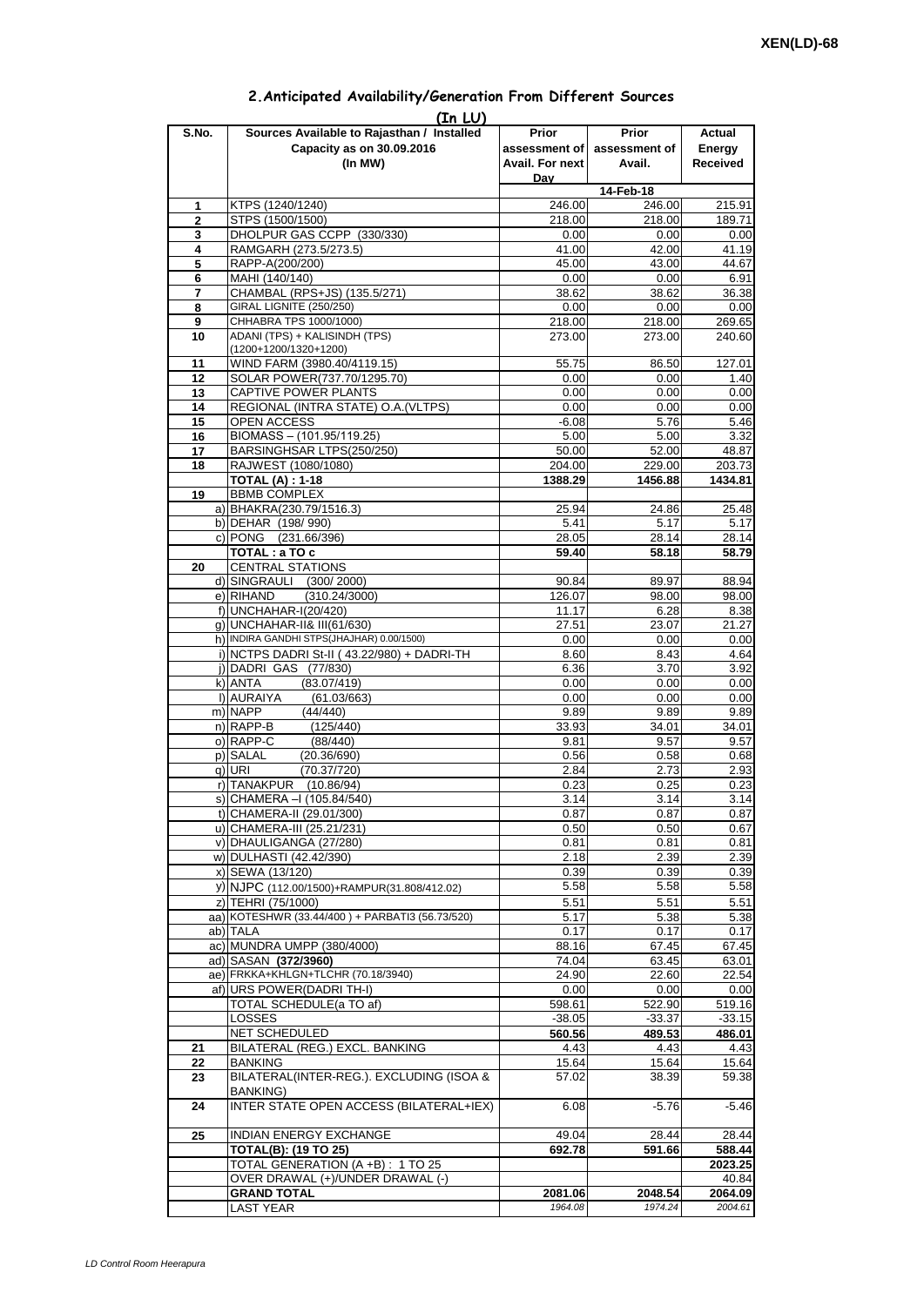|             | (In LU)                                         |                 |                             |          |
|-------------|-------------------------------------------------|-----------------|-----------------------------|----------|
| S.No.       | Sources Available to Rajasthan / Installed      | Prior           | <b>Prior</b>                | Actual   |
|             | Capacity as on 30.09.2016                       |                 | assessment of assessment of | Energy   |
|             | (In MW)                                         | Avail. For next | Avail.                      | Received |
|             |                                                 | Day             |                             |          |
|             |                                                 |                 | 14-Feb-18                   |          |
| 1           | KTPS (1240/1240)                                | 246.00          | 246.00                      | 215.91   |
| $\mathbf 2$ | STPS (1500/1500)                                | 218.00          | 218.00                      | 189.71   |
|             |                                                 |                 |                             |          |
| 3           | DHOLPUR GAS CCPP (330/330)                      | 0.00            | 0.00                        | 0.00     |
| 4           | RAMGARH (273.5/273.5)                           | 41.00           | 42.00                       | 41.19    |
| 5           | RAPP-A(200/200)                                 | 45.00           | 43.00                       | 44.67    |
| 6           | MAHI (140/140)                                  | 0.00            | 0.00                        | 6.91     |
| 7           | CHAMBAL (RPS+JS) (135.5/271)                    | 38.62           | 38.62                       | 36.38    |
| 8           | GIRAL LIGNITE (250/250)                         | 0.00            | 0.00                        | 0.00     |
| 9           | CHHABRA TPS 1000/1000)                          | 218.00          | 218.00                      | 269.65   |
| 10          | ADANI (TPS) + KALISINDH (TPS)                   | 273.00          | 273.00                      | 240.60   |
|             | (1200+1200/1320+1200)                           |                 |                             |          |
| 11          | WIND FARM (3980.40/4119.15)                     | 55.75           | 86.50                       | 127.01   |
| 12          | SOLAR POWER(737.70/1295.70)                     | 0.00            | 0.00                        | 1.40     |
| 13          | CAPTIVE POWER PLANTS                            |                 |                             |          |
|             |                                                 | 0.00            | 0.00                        | 0.00     |
| 14          | REGIONAL (INTRA STATE) O.A. (VLTPS)             | 0.00            | 0.00                        | 0.00     |
| 15          | OPEN ACCESS                                     | $-6.08$         | 5.76                        | 5.46     |
| 16          | BIOMASS - (101.95/119.25)                       | 5.00            | 5.00                        | 3.32     |
| 17          | BARSINGHSAR LTPS(250/250)                       | 50.00           | 52.00                       | 48.87    |
| 18          | RAJWEST (1080/1080)                             | 204.00          | 229.00                      | 203.73   |
|             | <b>TOTAL (A): 1-18</b>                          | 1388.29         | 1456.88                     | 1434.81  |
| 19          | <b>BBMB COMPLEX</b>                             |                 |                             |          |
|             | a) BHAKRA(230.79/1516.3)                        | 25.94           | 24.86                       | 25.48    |
|             | b) DEHAR (198/990)                              | 5.41            | 5.17                        | 5.17     |
|             | c) PONG (231.66/396)                            | 28.05           | 28.14                       | 28.14    |
|             |                                                 |                 |                             |          |
|             | TOTAL: a TO c                                   | 59.40           | 58.18                       | 58.79    |
| 20          | <b>CENTRAL STATIONS</b>                         |                 |                             |          |
|             | d) SINGRAULI (300/2000)                         | 90.84           | 89.97                       | 88.94    |
|             | (310.24/3000)<br>e) RIHAND                      | 126.07          | 98.00                       | 98.00    |
|             | f) UNCHAHAR-I(20/420)                           | 11.17           | 6.28                        | 8.38     |
|             | g) UNCHAHAR-II& III(61/630)                     | 27.51           | 23.07                       | 21.27    |
|             | h) INDIRA GANDHI STPS(JHAJHAR) 0.00/1500)       | 0.00            | 0.00                        | 0.00     |
|             | i) NCTPS DADRI St-II (43.22/980) + DADRI-TH     | 8.60            | 8.43                        | 4.64     |
|             | j) DADRI GAS (77/830)                           | 6.36            | 3.70                        | 3.92     |
|             |                                                 |                 |                             |          |
|             | k) ANTA<br>(83.07/419)                          | 0.00            | 0.00                        | 0.00     |
|             | I) AURAIYA<br>(61.03/663)                       | 0.00            | 0.00                        | 0.00     |
|             | m) NAPP<br>(44/440)                             | 9.89            | 9.89                        | 9.89     |
|             | n) RAPP-B<br>(125/440)                          | 33.93           | 34.01                       | 34.01    |
|             | o) RAPP-C<br>(88/440)                           | 9.81            | 9.57                        | 9.57     |
|             | p) SALAL<br>(20.36/690)                         | 0.56            | 0.58                        | 0.68     |
|             | $q)$ URI<br>(70.37/720)                         | 2.84            | 2.73                        | 2.93     |
|             | r) TANAKPUR<br>(10.86/94)                       | 0.23            | 0.25                        | 0.23     |
|             | s) CHAMERA - (105.84/540)                       | 3.14            | 3.14                        | 3.14     |
|             |                                                 |                 |                             |          |
|             | t) CHAMERA-II (29.01/300)                       | 0.87            | 0.87                        | 0.87     |
|             | u) CHAMERA-III (25.21/231)                      | 0.50            | 0.50                        | 0.67     |
|             | v) DHAULIGANGA (27/280)                         | 0.81            | 0.81                        | 0.81     |
|             | w) DULHASTI (42.42/390)                         | 2.18            | 2.39                        | 2.39     |
|             | x) SEWA (13/120)                                | 0.39            | 0.39                        | 0.39     |
|             | y) NJPC (112.00/1500) + RAMPUR(31.808/412.02)   | 5.58            | 5.58                        | 5.58     |
|             | z) TEHRI (75/1000)                              | 5.51            | 5.51                        | 5.51     |
|             | aa) KOTESHWR (33.44/400) + PARBATI3 (56.73/520) | 5.17            | 5.38                        | 5.38     |
|             | ab) TALA                                        | 0.17            | 0.17                        | 0.17     |
|             | ac) MUNDRA UMPP (380/4000)                      |                 |                             |          |
|             |                                                 | 88.16           | 67.45                       | 67.45    |
|             | ad) SASAN (372/3960)                            | 74.04           | 63.45                       | 63.01    |
|             | ae) FRKKA+KHLGN+TLCHR (70.18/3940)              | 24.90           | 22.60                       | 22.54    |
|             | af) URS POWER (DADRI TH-I)                      | 0.00            | 0.00                        | 0.00     |
|             | TOTAL SCHEDULE(a TO af)                         | 598.61          | 522.90                      | 519.16   |
|             | LOSSES                                          | $-38.05$        | $-33.37$                    | $-33.15$ |
|             | NET SCHEDULED                                   | 560.56          | 489.53                      | 486.01   |
| 21          | BILATERAL (REG.) EXCL. BANKING                  | 4.43            | 4.43                        | 4.43     |
| 22          | <b>BANKING</b>                                  | 15.64           | 15.64                       | 15.64    |
| 23          | BILATERAL(INTER-REG.). EXCLUDING (ISOA &        | 57.02           | 38.39                       | 59.38    |
|             | <b>BANKING)</b>                                 |                 |                             |          |
|             | <b>INTER STATE OPEN ACCESS (BILATERAL+IEX)</b>  |                 |                             |          |
| 24          |                                                 | 6.08            | $-5.76$                     | $-5.46$  |
|             |                                                 |                 |                             |          |
| 25          | INDIAN ENERGY EXCHANGE                          | 49.04           | 28.44                       | 28.44    |
|             | <b>TOTAL(B): (19 TO 25)</b>                     | 692.78          | 591.66                      | 588.44   |
|             | TOTAL GENERATION (A +B) : 1 TO 25               |                 |                             | 2023.25  |
|             | OVER DRAWAL (+)/UNDER DRAWAL (-)                |                 |                             | 40.84    |
|             | <b>GRAND TOTAL</b>                              | 2081.06         | 2048.54                     | 2064.09  |
|             | <b>LAST YEAR</b>                                | 1964.08         | 1974.24                     | 2004.61  |

## **2.Anticipated Availability/Generation From Different Sources**